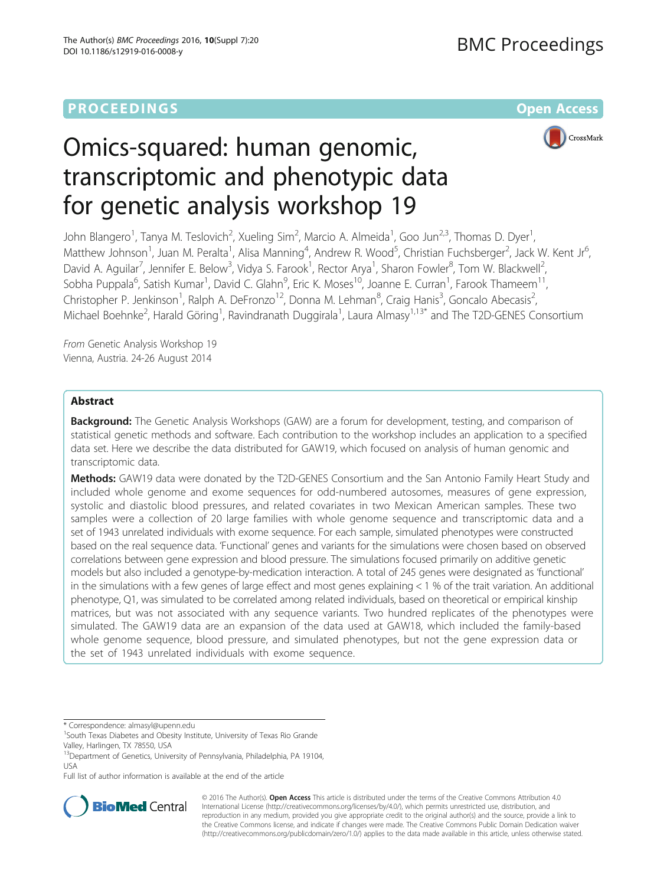# **PROCEEDINGS STATE ACCESS CONSUMING SECTION CONSUMING SECTION CONSUMING SECTION CONSUMING SECTION CONSUMING SECTION CONSUMING SECTION CONSUMING SECTION CONSUMING SECTION CONSUMING SECTION CONSUMING SECTION CONSUMING SE**

CrossMark



John Blangero<sup>1</sup>, Tanya M. Teslovich<sup>2</sup>, Xueling Sim<sup>2</sup>, Marcio A. Almeida<sup>1</sup>, Goo Jun<sup>2,3</sup>, Thomas D. Dyer<sup>1</sup> , Matthew Johnson<sup>1</sup>, Juan M. Peralta<sup>1</sup>, Alisa Manning<sup>4</sup>, Andrew R. Wood<sup>5</sup>, Christian Fuchsberger<sup>2</sup>, Jack W. Kent Jr<sup>6</sup> , David A. Aguilar<sup>7</sup>, Jennifer E. Below<sup>3</sup>, Vidya S. Farook<sup>1</sup>, Rector Arya<sup>1</sup>, Sharon Fowler<sup>8</sup>, Tom W. Blackwell<sup>2</sup> , Sobha Puppala<sup>6</sup>, Satish Kumar<sup>1</sup>, David C. Glahn<sup>9</sup>, Eric K. Moses<sup>10</sup>, Joanne E. Curran<sup>1</sup>, Farook Thameem<sup>11</sup>, Christopher P. Jenkinson<sup>1</sup>, Ralph A. DeFronzo<sup>12</sup>, Donna M. Lehman<sup>8</sup>, Craig Hanis<sup>3</sup>, Goncalo Abecasis<sup>2</sup> , Michael Boehnke<sup>2</sup>, Harald Göring<sup>1</sup>, Ravindranath Duggirala<sup>1</sup>, Laura Almasy<sup>1,13\*</sup> and The T2D-GENES Consortium

From Genetic Analysis Workshop 19 Vienna, Austria. 24-26 August 2014

# Abstract

**Background:** The Genetic Analysis Workshops (GAW) are a forum for development, testing, and comparison of statistical genetic methods and software. Each contribution to the workshop includes an application to a specified data set. Here we describe the data distributed for GAW19, which focused on analysis of human genomic and transcriptomic data.

Methods: GAW19 data were donated by the T2D-GENES Consortium and the San Antonio Family Heart Study and included whole genome and exome sequences for odd-numbered autosomes, measures of gene expression, systolic and diastolic blood pressures, and related covariates in two Mexican American samples. These two samples were a collection of 20 large families with whole genome sequence and transcriptomic data and a set of 1943 unrelated individuals with exome sequence. For each sample, simulated phenotypes were constructed based on the real sequence data. 'Functional' genes and variants for the simulations were chosen based on observed correlations between gene expression and blood pressure. The simulations focused primarily on additive genetic models but also included a genotype-by-medication interaction. A total of 245 genes were designated as 'functional' in the simulations with a few genes of large effect and most genes explaining < 1 % of the trait variation. An additional phenotype, Q1, was simulated to be correlated among related individuals, based on theoretical or empirical kinship matrices, but was not associated with any sequence variants. Two hundred replicates of the phenotypes were simulated. The GAW19 data are an expansion of the data used at GAW18, which included the family-based whole genome sequence, blood pressure, and simulated phenotypes, but not the gene expression data or the set of 1943 unrelated individuals with exome sequence.

\* Correspondence: [almasyl@upenn.edu](mailto:almasyl@upenn.edu) <sup>1</sup>

Full list of author information is available at the end of the article



© 2016 The Author(s). Open Access This article is distributed under the terms of the Creative Commons Attribution 4.0 International License [\(http://creativecommons.org/licenses/by/4.0/](http://creativecommons.org/licenses/by/4.0/)), which permits unrestricted use, distribution, and reproduction in any medium, provided you give appropriate credit to the original author(s) and the source, provide a link to the Creative Commons license, and indicate if changes were made. The Creative Commons Public Domain Dedication waiver [\(http://creativecommons.org/publicdomain/zero/1.0/](http://creativecommons.org/publicdomain/zero/1.0/)) applies to the data made available in this article, unless otherwise stated.

 $1$ South Texas Diabetes and Obesity Institute, University of Texas Rio Grande Valley, Harlingen, TX 78550, USA

<sup>&</sup>lt;sup>13</sup>Department of Genetics, University of Pennsylvania, Philadelphia, PA 19104, USA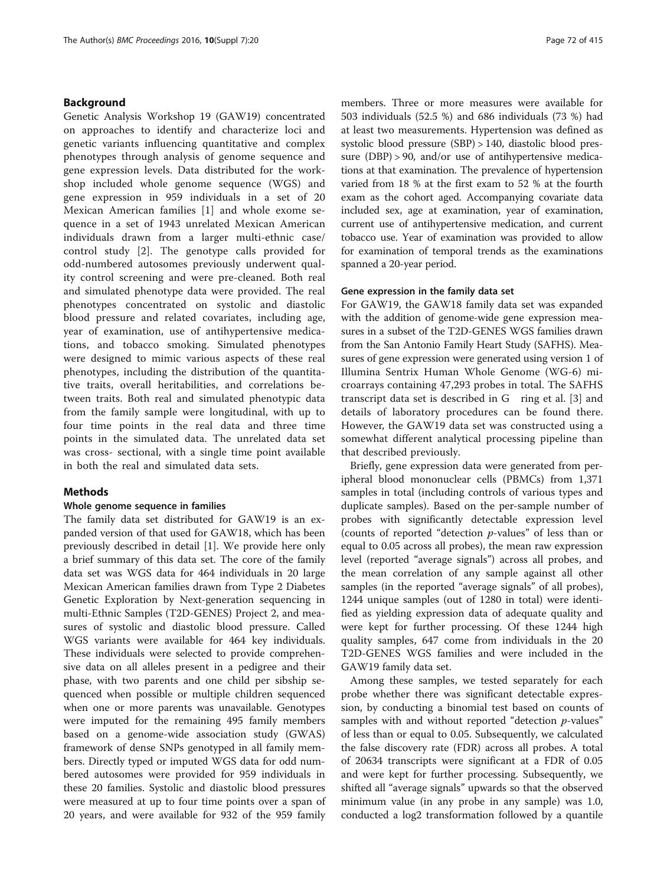# Background

Genetic Analysis Workshop 19 (GAW19) concentrated on approaches to identify and characterize loci and genetic variants influencing quantitative and complex phenotypes through analysis of genome sequence and gene expression levels. Data distributed for the workshop included whole genome sequence (WGS) and gene expression in 959 individuals in a set of 20 Mexican American families [\[1](#page-5-0)] and whole exome sequence in a set of 1943 unrelated Mexican American individuals drawn from a larger multi-ethnic case/ control study [[2\]](#page-5-0). The genotype calls provided for odd-numbered autosomes previously underwent quality control screening and were pre-cleaned. Both real and simulated phenotype data were provided. The real phenotypes concentrated on systolic and diastolic blood pressure and related covariates, including age, year of examination, use of antihypertensive medications, and tobacco smoking. Simulated phenotypes were designed to mimic various aspects of these real phenotypes, including the distribution of the quantitative traits, overall heritabilities, and correlations between traits. Both real and simulated phenotypic data from the family sample were longitudinal, with up to four time points in the real data and three time points in the simulated data. The unrelated data set was cross- sectional, with a single time point available in both the real and simulated data sets.

# Methods

## Whole genome sequence in families

The family data set distributed for GAW19 is an expanded version of that used for GAW18, which has been previously described in detail [\[1](#page-5-0)]. We provide here only a brief summary of this data set. The core of the family data set was WGS data for 464 individuals in 20 large Mexican American families drawn from Type 2 Diabetes Genetic Exploration by Next-generation sequencing in multi-Ethnic Samples (T2D-GENES) Project 2, and measures of systolic and diastolic blood pressure. Called WGS variants were available for 464 key individuals. These individuals were selected to provide comprehensive data on all alleles present in a pedigree and their phase, with two parents and one child per sibship sequenced when possible or multiple children sequenced when one or more parents was unavailable. Genotypes were imputed for the remaining 495 family members based on a genome-wide association study (GWAS) framework of dense SNPs genotyped in all family members. Directly typed or imputed WGS data for odd numbered autosomes were provided for 959 individuals in these 20 families. Systolic and diastolic blood pressures were measured at up to four time points over a span of 20 years, and were available for 932 of the 959 family members. Three or more measures were available for 503 individuals (52.5 %) and 686 individuals (73 %) had at least two measurements. Hypertension was defined as systolic blood pressure (SBP) > 140, diastolic blood pressure (DBP) > 90, and/or use of antihypertensive medications at that examination. The prevalence of hypertension varied from 18 % at the first exam to 52 % at the fourth exam as the cohort aged. Accompanying covariate data included sex, age at examination, year of examination, current use of antihypertensive medication, and current tobacco use. Year of examination was provided to allow for examination of temporal trends as the examinations spanned a 20-year period.

# Gene expression in the family data set

For GAW19, the GAW18 family data set was expanded with the addition of genome-wide gene expression measures in a subset of the T2D-GENES WGS families drawn from the San Antonio Family Heart Study (SAFHS). Measures of gene expression were generated using version 1 of Illumina Sentrix Human Whole Genome (WG-6) microarrays containing 47,293 probes in total. The SAFHS transcript data set is described in G ring et al. [[3\]](#page-5-0) and details of laboratory procedures can be found there. However, the GAW19 data set was constructed using a somewhat different analytical processing pipeline than that described previously.

Briefly, gene expression data were generated from peripheral blood mononuclear cells (PBMCs) from 1,371 samples in total (including controls of various types and duplicate samples). Based on the per-sample number of probes with significantly detectable expression level (counts of reported "detection p-values" of less than or equal to 0.05 across all probes), the mean raw expression level (reported "average signals") across all probes, and the mean correlation of any sample against all other samples (in the reported "average signals" of all probes), 1244 unique samples (out of 1280 in total) were identified as yielding expression data of adequate quality and were kept for further processing. Of these 1244 high quality samples, 647 come from individuals in the 20 T2D-GENES WGS families and were included in the GAW19 family data set.

Among these samples, we tested separately for each probe whether there was significant detectable expression, by conducting a binomial test based on counts of samples with and without reported "detection *p*-values" of less than or equal to 0.05. Subsequently, we calculated the false discovery rate (FDR) across all probes. A total of 20634 transcripts were significant at a FDR of 0.05 and were kept for further processing. Subsequently, we shifted all "average signals" upwards so that the observed minimum value (in any probe in any sample) was 1.0, conducted a log2 transformation followed by a quantile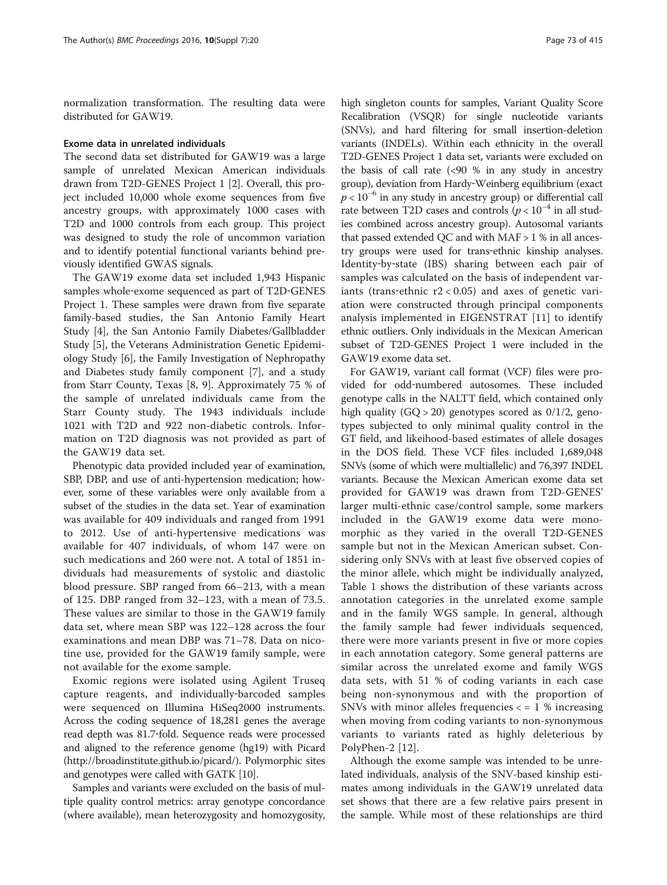normalization transformation. The resulting data were distributed for GAW19.

#### Exome data in unrelated individuals

The second data set distributed for GAW19 was a large sample of unrelated Mexican American individuals drawn from T2D-GENES Project 1 [\[2\]](#page-5-0). Overall, this project included 10,000 whole exome sequences from five ancestry groups, with approximately 1000 cases with T2D and 1000 controls from each group. This project was designed to study the role of uncommon variation and to identify potential functional variants behind previously identified GWAS signals.

The GAW19 exome data set included 1,943 Hispanic samples whole-exome sequenced as part of T2D-GENES Project 1. These samples were drawn from five separate family-based studies, the San Antonio Family Heart Study [[4\]](#page-5-0), the San Antonio Family Diabetes/Gallbladder Study [[5\]](#page-5-0), the Veterans Administration Genetic Epidemiology Study [[6\]](#page-5-0), the Family Investigation of Nephropathy and Diabetes study family component [\[7](#page-5-0)], and a study from Starr County, Texas [[8, 9](#page-5-0)]. Approximately 75 % of the sample of unrelated individuals came from the Starr County study. The 1943 individuals include 1021 with T2D and 922 non-diabetic controls. Information on T2D diagnosis was not provided as part of the GAW19 data set.

Phenotypic data provided included year of examination, SBP, DBP, and use of anti-hypertension medication; however, some of these variables were only available from a subset of the studies in the data set. Year of examination was available for 409 individuals and ranged from 1991 to 2012. Use of anti-hypertensive medications was available for 407 individuals, of whom 147 were on such medications and 260 were not. A total of 1851 individuals had measurements of systolic and diastolic blood pressure. SBP ranged from 66–213, with a mean of 125. DBP ranged from 32–123, with a mean of 73.5. These values are similar to those in the GAW19 family data set, where mean SBP was 122–128 across the four examinations and mean DBP was 71–78. Data on nicotine use, provided for the GAW19 family sample, were not available for the exome sample.

Exomic regions were isolated using Agilent Truseq capture reagents, and individually‐barcoded samples were sequenced on Illumina HiSeq2000 instruments. Across the coding sequence of 18,281 genes the average read depth was 81.7‐fold. Sequence reads were processed and aligned to the reference genome (hg19) with Picard (<http://broadinstitute.github.io/picard/>). Polymorphic sites and genotypes were called with GATK [\[10\]](#page-5-0).

Samples and variants were excluded on the basis of multiple quality control metrics: array genotype concordance (where available), mean heterozygosity and homozygosity,

high singleton counts for samples, Variant Quality Score Recalibration (VSQR) for single nucleotide variants (SNVs), and hard filtering for small insertion-deletion variants (INDELs). Within each ethnicity in the overall T2D-GENES Project 1 data set, variants were excluded on the basis of call rate (<90 % in any study in ancestry group), deviation from Hardy‐Weinberg equilibrium (exact  $p < 10^{-6}$  in any study in ancestry group) or differential call rate between T2D cases and controls ( $p < 10^{-4}$  in all studies combined across ancestry group). Autosomal variants that passed extended QC and with MAF > 1 % in all ancestry groups were used for trans‐ethnic kinship analyses. Identity‐by‐state (IBS) sharing between each pair of samples was calculated on the basis of independent variants (trans-ethnic  $r2 < 0.05$ ) and axes of genetic variation were constructed through principal components analysis implemented in EIGENSTRAT [\[11](#page-5-0)] to identify ethnic outliers. Only individuals in the Mexican American subset of T2D-GENES Project 1 were included in the GAW19 exome data set.

For GAW19, variant call format (VCF) files were provided for odd‐numbered autosomes. These included genotype calls in the NALTT field, which contained only high quality  $(GQ > 20)$  genotypes scored as  $0/1/2$ , genotypes subjected to only minimal quality control in the GT field, and likeihood-based estimates of allele dosages in the DOS field. These VCF files included 1,689,048 SNVs (some of which were multiallelic) and 76,397 INDEL variants. Because the Mexican American exome data set provided for GAW19 was drawn from T2D-GENES' larger multi-ethnic case/control sample, some markers included in the GAW19 exome data were monomorphic as they varied in the overall T2D-GENES sample but not in the Mexican American subset. Considering only SNVs with at least five observed copies of the minor allele, which might be individually analyzed, Table [1](#page-3-0) shows the distribution of these variants across annotation categories in the unrelated exome sample and in the family WGS sample. In general, although the family sample had fewer individuals sequenced, there were more variants present in five or more copies in each annotation category. Some general patterns are similar across the unrelated exome and family WGS data sets, with 51 % of coding variants in each case being non-synonymous and with the proportion of SNVs with minor alleles frequencies  $\lt$  = 1 % increasing when moving from coding variants to non-synonymous variants to variants rated as highly deleterious by PolyPhen-2 [[12\]](#page-5-0).

Although the exome sample was intended to be unrelated individuals, analysis of the SNV-based kinship estimates among individuals in the GAW19 unrelated data set shows that there are a few relative pairs present in the sample. While most of these relationships are third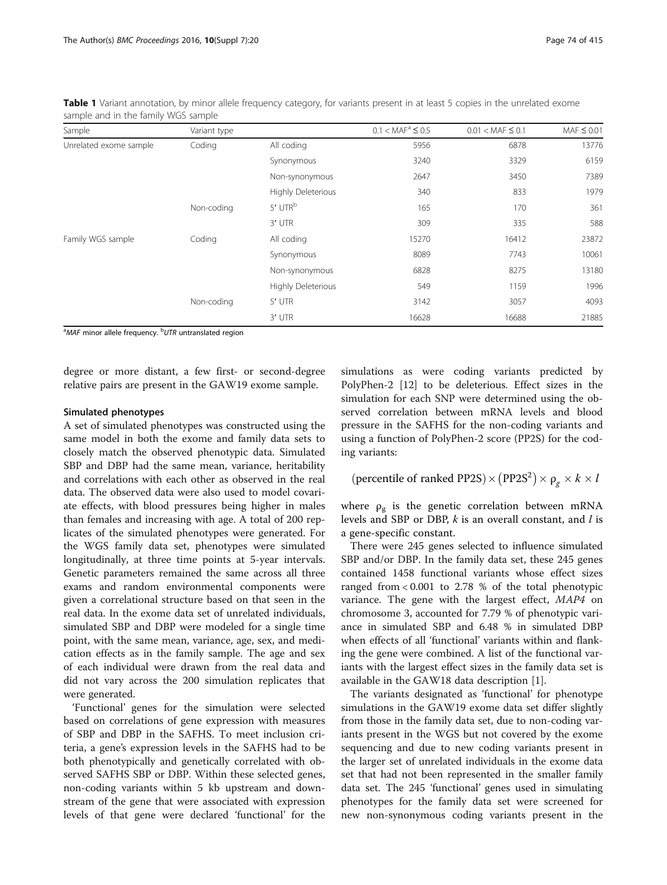| Sample                 | Variant type |                     | $0.1 < MAF^a \leq 0.5$ | $0.01 <$ MAF $\leq 0.1$ | $MAF \leq 0.01$ |
|------------------------|--------------|---------------------|------------------------|-------------------------|-----------------|
| Unrelated exome sample | Coding       | All coding          | 5956                   | 6878                    | 13776           |
|                        |              | Synonymous          | 3240                   | 3329                    | 6159            |
|                        |              | Non-synonymous      | 2647                   | 3450                    | 7389            |
|                        |              | Highly Deleterious  | 340                    | 833                     | 1979            |
|                        | Non-coding   | 5' UTR <sup>b</sup> | 165                    | 170                     | 361             |
|                        |              | 3' UTR              | 309                    | 335                     | 588             |
| Family WGS sample      | Coding       | All coding          | 15270                  | 16412                   | 23872           |
|                        |              | Synonymous          | 8089                   | 7743                    | 10061           |
|                        |              | Non-synonymous      | 6828                   | 8275                    | 13180           |
|                        |              | Highly Deleterious  | 549                    | 1159                    | 1996            |
|                        | Non-coding   | 5' UTR              | 3142                   | 3057                    | 4093            |
|                        |              | 3' UTR              | 16628                  | 16688                   | 21885           |

<span id="page-3-0"></span>Table 1 Variant annotation, by minor allele frequency category, for variants present in at least 5 copies in the unrelated exome sample and in the family WGS sample

<sup>a</sup>MAF minor allele frequency. <sup>b</sup>UTR untranslated region

degree or more distant, a few first- or second-degree relative pairs are present in the GAW19 exome sample.

### Simulated phenotypes

A set of simulated phenotypes was constructed using the same model in both the exome and family data sets to closely match the observed phenotypic data. Simulated SBP and DBP had the same mean, variance, heritability and correlations with each other as observed in the real data. The observed data were also used to model covariate effects, with blood pressures being higher in males than females and increasing with age. A total of 200 replicates of the simulated phenotypes were generated. For the WGS family data set, phenotypes were simulated longitudinally, at three time points at 5-year intervals. Genetic parameters remained the same across all three exams and random environmental components were given a correlational structure based on that seen in the real data. In the exome data set of unrelated individuals, simulated SBP and DBP were modeled for a single time point, with the same mean, variance, age, sex, and medication effects as in the family sample. The age and sex of each individual were drawn from the real data and did not vary across the 200 simulation replicates that were generated.

'Functional' genes for the simulation were selected based on correlations of gene expression with measures of SBP and DBP in the SAFHS. To meet inclusion criteria, a gene's expression levels in the SAFHS had to be both phenotypically and genetically correlated with observed SAFHS SBP or DBP. Within these selected genes, non-coding variants within 5 kb upstream and downstream of the gene that were associated with expression levels of that gene were declared 'functional' for the

simulations as were coding variants predicted by PolyPhen-2 [\[12\]](#page-5-0) to be deleterious. Effect sizes in the simulation for each SNP were determined using the observed correlation between mRNA levels and blood pressure in the SAFHS for the non-coding variants and using a function of PolyPhen-2 score (PP2S) for the coding variants:

(percentile of ranked PP2S)  $\times$  (PP2S<sup>2</sup>)  $\times$   $\rho_g \times k \times l$ 

where  $\rho_{g}$  is the genetic correlation between mRNA levels and SBP or DBP,  $k$  is an overall constant, and  $l$  is a gene-specific constant.

There were 245 genes selected to influence simulated SBP and/or DBP. In the family data set, these 245 genes contained 1458 functional variants whose effect sizes ranged from < 0.001 to 2.78 % of the total phenotypic variance. The gene with the largest effect, MAP4 on chromosome 3, accounted for 7.79 % of phenotypic variance in simulated SBP and 6.48 % in simulated DBP when effects of all 'functional' variants within and flanking the gene were combined. A list of the functional variants with the largest effect sizes in the family data set is available in the GAW18 data description [[1\]](#page-5-0).

The variants designated as 'functional' for phenotype simulations in the GAW19 exome data set differ slightly from those in the family data set, due to non-coding variants present in the WGS but not covered by the exome sequencing and due to new coding variants present in the larger set of unrelated individuals in the exome data set that had not been represented in the smaller family data set. The 245 'functional' genes used in simulating phenotypes for the family data set were screened for new non-synonymous coding variants present in the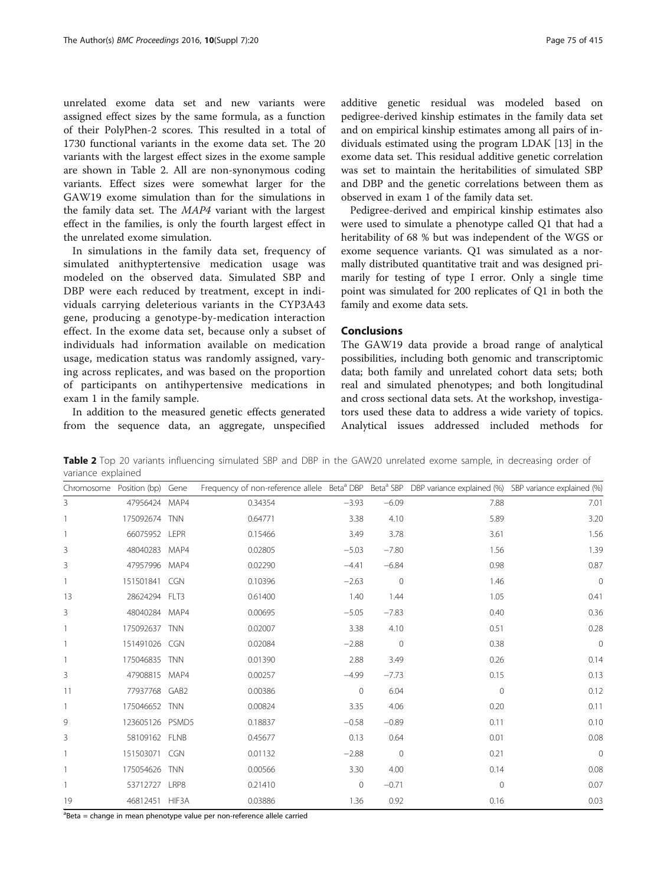unrelated exome data set and new variants were assigned effect sizes by the same formula, as a function of their PolyPhen-2 scores. This resulted in a total of 1730 functional variants in the exome data set. The 20 variants with the largest effect sizes in the exome sample are shown in Table 2. All are non-synonymous coding variants. Effect sizes were somewhat larger for the GAW19 exome simulation than for the simulations in the family data set. The MAP4 variant with the largest effect in the families, is only the fourth largest effect in the unrelated exome simulation.

In simulations in the family data set, frequency of simulated anithyptertensive medication usage was modeled on the observed data. Simulated SBP and DBP were each reduced by treatment, except in individuals carrying deleterious variants in the CYP3A43 gene, producing a genotype-by-medication interaction effect. In the exome data set, because only a subset of individuals had information available on medication usage, medication status was randomly assigned, varying across replicates, and was based on the proportion of participants on antihypertensive medications in exam 1 in the family sample.

In addition to the measured genetic effects generated from the sequence data, an aggregate, unspecified

additive genetic residual was modeled based on pedigree-derived kinship estimates in the family data set and on empirical kinship estimates among all pairs of individuals estimated using the program LDAK [\[13](#page-6-0)] in the exome data set. This residual additive genetic correlation was set to maintain the heritabilities of simulated SBP and DBP and the genetic correlations between them as observed in exam 1 of the family data set.

Pedigree-derived and empirical kinship estimates also were used to simulate a phenotype called Q1 that had a heritability of 68 % but was independent of the WGS or exome sequence variants. Q1 was simulated as a normally distributed quantitative trait and was designed primarily for testing of type I error. Only a single time point was simulated for 200 replicates of Q1 in both the family and exome data sets.

# Conclusions

The GAW19 data provide a broad range of analytical possibilities, including both genomic and transcriptomic data; both family and unrelated cohort data sets; both real and simulated phenotypes; and both longitudinal and cross sectional data sets. At the workshop, investigators used these data to address a wide variety of topics. Analytical issues addressed included methods for

Table 2 Top 20 variants influencing simulated SBP and DBP in the GAW20 unrelated exome sample, in decreasing order of variance explained

| Chromosome Position (bp) |                 | Gene       | Frequency of non-reference allele Beta <sup>a</sup> DBP Beta <sup>a</sup> SBP DBP variance explained (%) SBP variance explained (%) |              |              |              |             |
|--------------------------|-----------------|------------|-------------------------------------------------------------------------------------------------------------------------------------|--------------|--------------|--------------|-------------|
| $\overline{3}$           | 47956424        | MAP4       | 0.34354                                                                                                                             | $-3.93$      | $-6.09$      | 7.88         | 7.01        |
|                          | 175092674       | <b>TNN</b> | 0.64771                                                                                                                             | 3.38         | 4.10         | 5.89         | 3.20        |
|                          | 66075952 LEPR   |            | 0.15466                                                                                                                             | 3.49         | 3.78         | 3.61         | 1.56        |
| 3                        | 48040283        | MAP4       | 0.02805                                                                                                                             | $-5.03$      | $-7.80$      | 1.56         | 1.39        |
| 3                        | 47957996        | MAP4       | 0.02290                                                                                                                             | $-4.41$      | $-6.84$      | 0.98         | 0.87        |
|                          | 151501841       | CGN        | 0.10396                                                                                                                             | $-2.63$      | $\mathbf{0}$ | 1.46         | $\mathbf 0$ |
| 13                       | 28624294 FLT3   |            | 0.61400                                                                                                                             | 1.40         | 1.44         | 1.05         | 0.41        |
| 3                        | 48040284 MAP4   |            | 0.00695                                                                                                                             | $-5.05$      | $-7.83$      | 0.40         | 0.36        |
|                          | 175092637 TNN   |            | 0.02007                                                                                                                             | 3.38         | 4.10         | 0.51         | 0.28        |
|                          | 151491026       | CGN        | 0.02084                                                                                                                             | $-2.88$      | $\mathbf{0}$ | 0.38         | $\mathbf 0$ |
|                          | 175046835 TNN   |            | 0.01390                                                                                                                             | 2.88         | 3.49         | 0.26         | 0.14        |
| 3                        | 47908815        | MAP4       | 0.00257                                                                                                                             | $-4.99$      | $-7.73$      | 0.15         | 0.13        |
| 11                       | 77937768 GAB2   |            | 0.00386                                                                                                                             | $\mathbf{0}$ | 6.04         | $\mathbf{0}$ | 0.12        |
|                          | 175046652 TNN   |            | 0.00824                                                                                                                             | 3.35         | 4.06         | 0.20         | 0.11        |
| 9                        | 123605126 PSMD5 |            | 0.18837                                                                                                                             | $-0.58$      | $-0.89$      | 0.11         | 0.10        |
| 3                        | 58109162 FLNB   |            | 0.45677                                                                                                                             | 0.13         | 0.64         | 0.01         | 0.08        |
|                          | 151503071 CGN   |            | 0.01132                                                                                                                             | $-2.88$      | $\mathbf{0}$ | 0.21         | $\mathbf 0$ |
|                          | 175054626       | <b>TNN</b> | 0.00566                                                                                                                             | 3.30         | 4.00         | 0.14         | 0.08        |
|                          | 53712727        | LRP8       | 0.21410                                                                                                                             | $\mathbf{0}$ | $-0.71$      | $\mathbf{0}$ | 0.07        |
| 19                       | 46812451        | HIF3A      | 0.03886                                                                                                                             | 1.36         | 0.92         | 0.16         | 0.03        |

<sup>a</sup>Beta = change in mean phenotype value per non-reference allele carried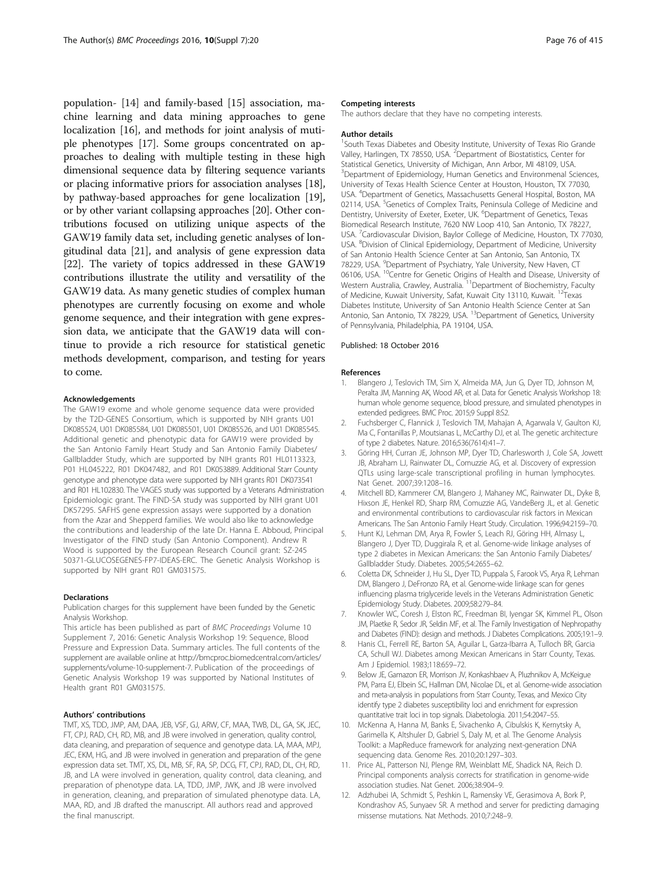<span id="page-5-0"></span>population- [[14](#page-6-0)] and family-based [\[15](#page-6-0)] association, machine learning and data mining approaches to gene localization [\[16](#page-6-0)], and methods for joint analysis of mutiple phenotypes [[17](#page-6-0)]. Some groups concentrated on approaches to dealing with multiple testing in these high dimensional sequence data by filtering sequence variants or placing informative priors for association analyses [[18](#page-6-0)], by pathway-based approaches for gene localization [[19](#page-6-0)], or by other variant collapsing approaches [\[20\]](#page-6-0). Other contributions focused on utilizing unique aspects of the GAW19 family data set, including genetic analyses of longitudinal data [\[21\]](#page-6-0), and analysis of gene expression data [[22](#page-6-0)]. The variety of topics addressed in these GAW19 contributions illustrate the utility and versatility of the GAW19 data. As many genetic studies of complex human phenotypes are currently focusing on exome and whole genome sequence, and their integration with gene expression data, we anticipate that the GAW19 data will continue to provide a rich resource for statistical genetic methods development, comparison, and testing for years to come.

#### Acknowledgements

The GAW19 exome and whole genome sequence data were provided by the T2D-GENES Consortium, which is supported by NIH grants U01 DK085524, U01 DK085584, U01 DK085501, U01 DK085526, and U01 DK085545. Additional genetic and phenotypic data for GAW19 were provided by the San Antonio Family Heart Study and San Antonio Family Diabetes/ Gallbladder Study, which are supported by NIH grants R01 HL0113323, P01 HL045222, R01 DK047482, and R01 DK053889. Additional Starr County genotype and phenotype data were supported by NIH grants R01 DK073541 and R01 HL102830. The VAGES study was supported by a Veterans Administration Epidemiologic grant. The FIND-SA study was supported by NIH grant U01 DK57295. SAFHS gene expression assays were supported by a donation from the Azar and Shepperd families. We would also like to acknowledge the contributions and leadership of the late Dr. Hanna E. Abboud, Principal Investigator of the FIND study (San Antonio Component). Andrew R Wood is supported by the European Research Council grant: SZ-245 50371-GLUCOSEGENES-FP7-IDEAS-ERC. The Genetic Analysis Workshop is supported by NIH grant R01 GM031575.

#### Declarations

Publication charges for this supplement have been funded by the Genetic Analysis Workshop.

This article has been published as part of BMC Proceedings Volume 10 Supplement 7, 2016: Genetic Analysis Workshop 19: Sequence, Blood Pressure and Expression Data. Summary articles. The full contents of the supplement are available online at [http://bmcproc.biomedcentral.com/articles/](http://bmcproc.biomedcentral.com/articles/supplements/volume-10-supplement-7) [supplements/volume-10-supplement-7.](http://bmcproc.biomedcentral.com/articles/supplements/volume-10-supplement-7) Publication of the proceedings of Genetic Analysis Workshop 19 was supported by National Institutes of Health grant R01 GM031575.

### Authors' contributions

TMT, XS, TDD, JMP, AM, DAA, JEB, VSF, GJ, ARW, CF, MAA, TWB, DL, GA, SK, JEC, FT, CPJ, RAD, CH, RD, MB, and JB were involved in generation, quality control, data cleaning, and preparation of sequence and genotype data. LA, MAA, MPJ, JEC, EKM, HG, and JB were involved in generation and preparation of the gene expression data set. TMT, XS, DL, MB, SF, RA, SP, DCG, FT, CPJ, RAD, DL, CH, RD, JB, and LA were involved in generation, quality control, data cleaning, and preparation of phenotype data. LA, TDD, JMP, JWK, and JB were involved in generation, cleaning, and preparation of simulated phenotype data. LA, MAA, RD, and JB drafted the manuscript. All authors read and approved the final manuscript.

#### Competing interests

The authors declare that they have no competing interests.

#### Author details

<sup>1</sup>South Texas Diabetes and Obesity Institute, University of Texas Rio Grande Valley, Harlingen, TX 78550, USA. <sup>2</sup>Department of Biostatistics, Center for Statistical Genetics, University of Michigan, Ann Arbor, MI 48109, USA. <sup>3</sup>Department of Epidemiology, Human Genetics and Environmenal Sciences, University of Texas Health Science Center at Houston, Houston, TX 77030, USA. <sup>4</sup> Department of Genetics, Massachusetts General Hospital, Boston, MA 02114, USA. <sup>5</sup>Genetics of Complex Traits, Peninsula College of Medicine and Dentistry, University of Exeter, Exeter, UK. <sup>6</sup>Department of Genetics, Texas Biomedical Research Institute, 7620 NW Loop 410, San Antonio, TX 78227, USA. <sup>7</sup>Cardiovascular Division, Baylor College of Medicine, Houston, TX 77030 USA. <sup>8</sup>Division of Clinical Epidemiology, Department of Medicine, University of San Antonio Health Science Center at San Antonio, San Antonio, TX 78229, USA. <sup>9</sup>Department of Psychiatry, Yale University, New Haven, CT 06106, USA. <sup>10</sup>Centre for Genetic Origins of Health and Disease, University of Western Australia, Crawley, Australia.<sup>11</sup>Department of Biochemistry, Faculty of Medicine, Kuwait University, Safat, Kuwait City 13110, Kuwait. <sup>12</sup>Texas Diabetes Institute, University of San Antonio Health Science Center at San Antonio, San Antonio, TX 78229, USA. <sup>13</sup>Department of Genetics, University of Pennsylvania, Philadelphia, PA 19104, USA.

#### Published: 18 October 2016

#### References

- 1. Blangero J, Teslovich TM, Sim X, Almeida MA, Jun G, Dyer TD, Johnson M, Peralta JM, Manning AK, Wood AR, et al. Data for Genetic Analysis Workshop 18: human whole genome sequence, blood pressure, and simulated phenotypes in extended pedigrees. BMC Proc. 2015;9 Suppl 8:S2.
- 2. Fuchsberger C, Flannick J, Teslovich TM, Mahajan A, Agarwala V, Gaulton KJ, Ma C, Fontanillas P, Moutsianas L, McCarthy DJ, et al. The genetic architecture of type 2 diabetes. Nature. 2016;536(7614):41–7.
- 3. Göring HH, Curran JE, Johnson MP, Dyer TD, Charlesworth J, Cole SA, Jowett JB, Abraham LJ, Rainwater DL, Comuzzie AG, et al. Discovery of expression QTLs using large-scale transcriptional profiling in human lymphocytes. Nat Genet. 2007;39:1208–16.
- 4. Mitchell BD, Kammerer CM, Blangero J, Mahaney MC, Rainwater DL, Dyke B, Hixson JE, Henkel RD, Sharp RM, Comuzzie AG, VandeBerg JL, et al. Genetic and environmental contributions to cardiovascular risk factors in Mexican Americans. The San Antonio Family Heart Study. Circulation. 1996;94:2159–70.
- 5. Hunt KJ, Lehman DM, Arya R, Fowler S, Leach RJ, Göring HH, Almasy L, Blangero J, Dyer TD, Duggirala R, et al. Genome-wide linkage analyses of type 2 diabetes in Mexican Americans: the San Antonio Family Diabetes/ Gallbladder Study. Diabetes. 2005;54:2655–62.
- 6. Coletta DK, Schneider J, Hu SL, Dyer TD, Puppala S, Farook VS, Arya R, Lehman DM, Blangero J, DeFronzo RA, et al. Genome-wide linkage scan for genes influencing plasma triglyceride levels in the Veterans Administration Genetic Epidemiology Study. Diabetes. 2009;58:279–84.
- 7. Knowler WC, Coresh J, Elston RC, Freedman BI, Iyengar SK, Kimmel PL, Olson JM, Plaetke R, Sedor JR, Seldin MF, et al. The Family Investigation of Nephropathy and Diabetes (FIND): design and methods. J Diabetes Complications. 2005;19:1–9.
- 8. Hanis CL, Ferrell RE, Barton SA, Aguilar L, Garza-Ibarra A, Tulloch BR, Garcia CA, Schull WJ. Diabetes among Mexican Americans in Starr County, Texas. Am J Epidemiol. 1983;118:659–72.
- 9. Below JE, Gamazon ER, Morrison JV, Konkashbaev A, Pluzhnikov A, McKeigue PM, Parra EJ, Elbein SC, Hallman DM, Nicolae DL, et al. Genome-wide association and meta-analysis in populations from Starr County, Texas, and Mexico City identify type 2 diabetes susceptibility loci and enrichment for expression quantitative trait loci in top signals. Diabetologia. 2011;54:2047–55.
- 10. McKenna A, Hanna M, Banks E, Sivachenko A, Cibulskis K, Kernytsky A, Garimella K, Altshuler D, Gabriel S, Daly M, et al. The Genome Analysis Toolkit: a MapReduce framework for analyzing next-generation DNA sequencing data. Genome Res. 2010;20:1297–303.
- 11. Price AL, Patterson NJ, Plenge RM, Weinblatt ME, Shadick NA, Reich D. Principal components analysis corrects for stratification in genome-wide association studies. Nat Genet. 2006;38:904–9.
- 12. Adzhubei IA, Schmidt S, Peshkin L, Ramensky VE, Gerasimova A, Bork P, Kondrashov AS, Sunyaev SR. A method and server for predicting damaging missense mutations. Nat Methods. 2010;7:248–9.